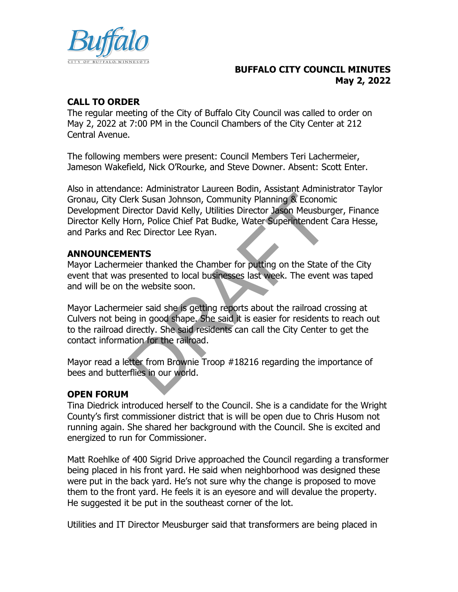

### **BUFFALO CITY COUNCIL MINUTES May 2, 2022**

# **CALL TO ORDER**

The regular meeting of the City of Buffalo City Council was called to order on May 2, 2022 at 7:00 PM in the Council Chambers of the City Center at 212 Central Avenue.

The following members were present: Council Members Teri Lachermeier, Jameson Wakefield, Nick O'Rourke, and Steve Downer. Absent: Scott Enter.

Also in attendance: Administrator Laureen Bodin, Assistant Administrator Taylor Gronau, City Clerk Susan Johnson, Community Planning & Economic Development Director David Kelly, Utilities Director Jason Meusburger, Finance Director Kelly Horn, Police Chief Pat Budke, Water Superintendent Cara Hesse, and Parks and Rec Director Lee Ryan. Frik Susan Johnson, Community Planning & Econom<br>
Friector David Kelly, Utilities Director Jason Meusbury<br>
Firector David Kelly, Utilities Director Jason Meusbury<br>
Iorn, Police Chief Pat Budke, Water Superintendent<br>
Rec Dir

### **ANNOUNCEMENTS**

Mayor Lachermeier thanked the Chamber for putting on the State of the City event that was presented to local businesses last week. The event was taped and will be on the website soon.

Mayor Lachermeier said she is getting reports about the railroad crossing at Culvers not being in good shape. She said it is easier for residents to reach out to the railroad directly. She said residents can call the City Center to get the contact information for the railroad.

Mayor read a letter from Brownie Troop #18216 regarding the importance of bees and butterflies in our world.

### **OPEN FORUM**

Tina Diedrick introduced herself to the Council. She is a candidate for the Wright County's first commissioner district that is will be open due to Chris Husom not running again. She shared her background with the Council. She is excited and energized to run for Commissioner.

Matt Roehlke of 400 Sigrid Drive approached the Council regarding a transformer being placed in his front yard. He said when neighborhood was designed these were put in the back yard. He's not sure why the change is proposed to move them to the front yard. He feels it is an eyesore and will devalue the property. He suggested it be put in the southeast corner of the lot.

Utilities and IT Director Meusburger said that transformers are being placed in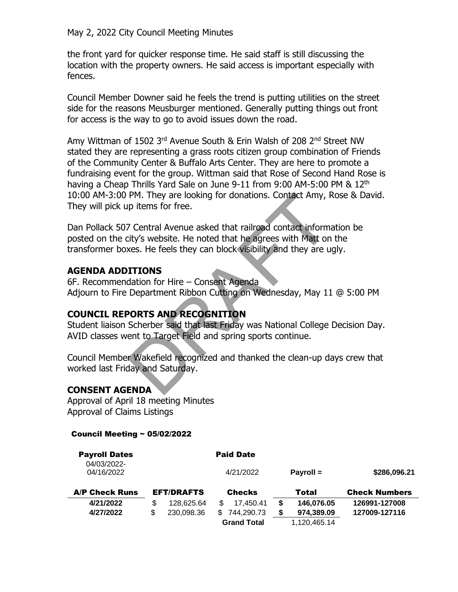May 2, 2022 City Council Meeting Minutes

the front yard for quicker response time. He said staff is still discussing the location with the property owners. He said access is important especially with fences.

Council Member Downer said he feels the trend is putting utilities on the street side for the reasons Meusburger mentioned. Generally putting things out front for access is the way to go to avoid issues down the road.

Amy Wittman of 1502 3rd Avenue South & Erin Walsh of 208 2nd Street NW stated they are representing a grass roots citizen group combination of Friends of the Community Center & Buffalo Arts Center. They are here to promote a fundraising event for the group. Wittman said that Rose of Second Hand Rose is having a Cheap Thrills Yard Sale on June 9-11 from 9:00 AM-5:00 PM & 12<sup>th</sup> 10:00 AM-3:00 PM. They are looking for donations. Contact Amy, Rose & David. They will pick up items for free.

Dan Pollack 507 Central Avenue asked that railroad contact information be posted on the city's website. He noted that he agrees with Matt on the transformer boxes. He feels they can block visibility and they are ugly. PM. They are looking for donations. Contact Amy, F<br>p items for free.<br>7 Central Avenue asked that railroad contact inform<br>ity's website. He noted that he agrees with Matt on<br>xes. He feels they can block visibility and they

### **AGENDA ADDITIONS**

6F. Recommendation for Hire – Consent Agenda Adjourn to Fire Department Ribbon Cutting on Wednesday, May 11 @ 5:00 PM

# **COUNCIL REPORTS AND RECOGNITION**

Student liaison Scherber said that last Friday was National College Decision Day. AVID classes went to Target Field and spring sports continue.

Council Member Wakefield recognized and thanked the clean-up days crew that worked last Friday and Saturday.

# **CONSENT AGENDA**

Approval of April 18 meeting Minutes Approval of Claims Listings

#### Council Meeting ~ 05/02/2022

| <b>Payroll Dates</b>      |                                    |            |     | <b>Paid Date</b>   |   |                      |               |
|---------------------------|------------------------------------|------------|-----|--------------------|---|----------------------|---------------|
| 04/03/2022-<br>04/16/2022 |                                    |            |     | 4/21/2022          |   | Payroll $=$          | \$286,096.21  |
| <b>A/P Check Runs</b>     | <b>EFT/DRAFTS</b><br><b>Checks</b> |            |     | Total              |   | <b>Check Numbers</b> |               |
| 4/21/2022                 | \$                                 | 128,625.64 | \$. | 17.450.41          |   | 146.076.05           | 126991-127008 |
| 4/27/2022                 | \$.                                | 230,098.36 | \$. | 744,290.73         | S | 974,389.09           | 127009-127116 |
|                           |                                    |            |     | <b>Grand Total</b> |   | 1,120,465.14         |               |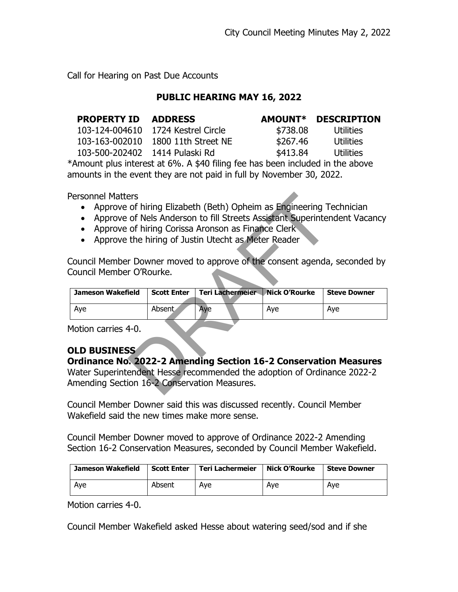Call for Hearing on Past Due Accounts

#### **PUBLIC HEARING MAY 16, 2022**

| <b>PROPERTY ID</b> | <b>ADDRESS</b>                     | <b>AMOUNT*</b> | <b>DESCRIPTION</b> |
|--------------------|------------------------------------|----------------|--------------------|
|                    | 103-124-004610 1724 Kestrel Circle | \$738.08       | Utilities          |
|                    | 103-163-002010 1800 11th Street NE | \$267.46       | Utilities          |
|                    |                                    | \$413.84       | Utilities          |

\*Amount plus interest at 6%. A \$40 filing fee has been included in the above amounts in the event they are not paid in full by November 30, 2022.

Personnel Matters

- Approve of hiring Elizabeth (Beth) Opheim as Engineering Technician
- Approve of Nels Anderson to fill Streets Assistant Superintendent Vacancy
- Approve of hiring Corissa Aronson as Finance Clerk
- Approve the hiring of Justin Utecht as Meter Reader

| <b>Personnel Matters</b>                                                  |                    |                                                                     |                      |                     |  |
|---------------------------------------------------------------------------|--------------------|---------------------------------------------------------------------|----------------------|---------------------|--|
|                                                                           |                    | Approve of hiring Elizabeth (Beth) Opheim as Engineering Technician |                      |                     |  |
| Approve of Nels Anderson to fill Streets Assistant Superintendent Vacancy |                    |                                                                     |                      |                     |  |
|                                                                           |                    |                                                                     |                      |                     |  |
|                                                                           |                    | Approve of hiring Corissa Aronson as Finance Clerk                  |                      |                     |  |
|                                                                           |                    | Approve the hiring of Justin Utecht as Meter Reader                 |                      |                     |  |
|                                                                           |                    |                                                                     |                      |                     |  |
| Council Member Downer moved to approve of the consent agenda, seconded by |                    |                                                                     |                      |                     |  |
| Council Member O'Rourke.                                                  |                    |                                                                     |                      |                     |  |
|                                                                           |                    |                                                                     |                      |                     |  |
| <b>Jameson Wakefield</b>                                                  | <b>Scott Enter</b> | Teri Lachermeier                                                    | <b>Nick O'Rourke</b> | <b>Steve Downer</b> |  |
|                                                                           |                    |                                                                     |                      |                     |  |
| Aye                                                                       | Absent             | Aye                                                                 | Aye                  | Aye                 |  |
| Motion carries 4-0.                                                       |                    |                                                                     |                      |                     |  |
| <b>OLD BUSINESS</b>                                                       |                    |                                                                     |                      |                     |  |
| <b>Ordinance No. 2022-2 Amending Section 16-2 Conservation Measures</b>   |                    |                                                                     |                      |                     |  |
|                                                                           |                    |                                                                     |                      |                     |  |
| Water Superintendent Hesse recommended the adoption of Ordinance 2022-2   |                    |                                                                     |                      |                     |  |
| Amending Section 16-2 Conservation Measures.                              |                    |                                                                     |                      |                     |  |
|                                                                           |                    |                                                                     |                      |                     |  |

# **OLD BUSINESS**

# **Ordinance No. 2022-2 Amending Section 16-2 Conservation Measures**

Council Member Downer said this was discussed recently. Council Member Wakefield said the new times make more sense.

Council Member Downer moved to approve of Ordinance 2022-2 Amending Section 16-2 Conservation Measures, seconded by Council Member Wakefield.

| Jameson Wakefield | Scott Enter | Teri Lachermeier | Nick O'Rourke | <b>Steve Downer</b> |
|-------------------|-------------|------------------|---------------|---------------------|
| Ave               | Absent      | Ave              | Ave           | Ave                 |

Motion carries 4-0.

Council Member Wakefield asked Hesse about watering seed/sod and if she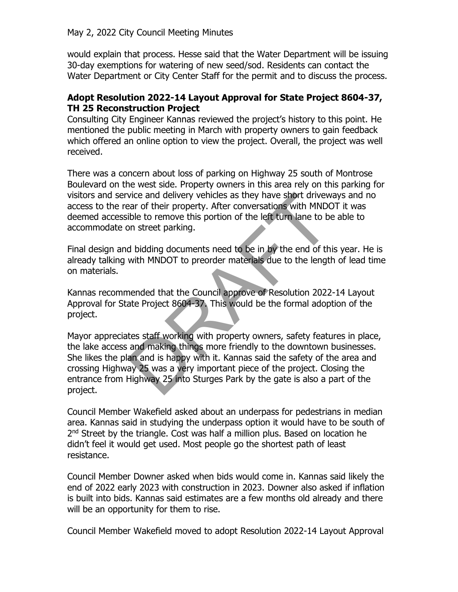would explain that process. Hesse said that the Water Department will be issuing 30-day exemptions for watering of new seed/sod. Residents can contact the Water Department or City Center Staff for the permit and to discuss the process.

### **Adopt Resolution 2022-14 Layout Approval for State Project 8604-37, TH 25 Reconstruction Project**

Consulting City Engineer Kannas reviewed the project's history to this point. He mentioned the public meeting in March with property owners to gain feedback which offered an online option to view the project. Overall, the project was well received.

There was a concern about loss of parking on Highway 25 south of Montrose Boulevard on the west side. Property owners in this area rely on this parking for visitors and service and delivery vehicles as they have short driveways and no access to the rear of their property. After conversations with MNDOT it was deemed accessible to remove this portion of the left turn lane to be able to accommodate on street parking.

Final design and bidding documents need to be in by the end of this year. He is already talking with MNDOT to preorder materials due to the length of lead time on materials.

Kannas recommended that the Council approve of Resolution 2022-14 Layout Approval for State Project 8604-37. This would be the formal adoption of the project.

Mayor appreciates staff working with property owners, safety features in place, the lake access and making things more friendly to the downtown businesses. She likes the plan and is happy with it. Kannas said the safety of the area and crossing Highway 25 was a very important piece of the project. Closing the entrance from Highway 25 into Sturges Park by the gate is also a part of the project. vice and delivery vehicles as they have short drivew<br>have of their property. After conversations with MNDC<br>ible to remove this portion of the left turn lane to be<br>on street parking.<br>d bidding documents need to be in by the

Council Member Wakefield asked about an underpass for pedestrians in median area. Kannas said in studying the underpass option it would have to be south of 2<sup>nd</sup> Street by the triangle. Cost was half a million plus. Based on location he didn't feel it would get used. Most people go the shortest path of least resistance.

Council Member Downer asked when bids would come in. Kannas said likely the end of 2022 early 2023 with construction in 2023. Downer also asked if inflation is built into bids. Kannas said estimates are a few months old already and there will be an opportunity for them to rise.

Council Member Wakefield moved to adopt Resolution 2022-14 Layout Approval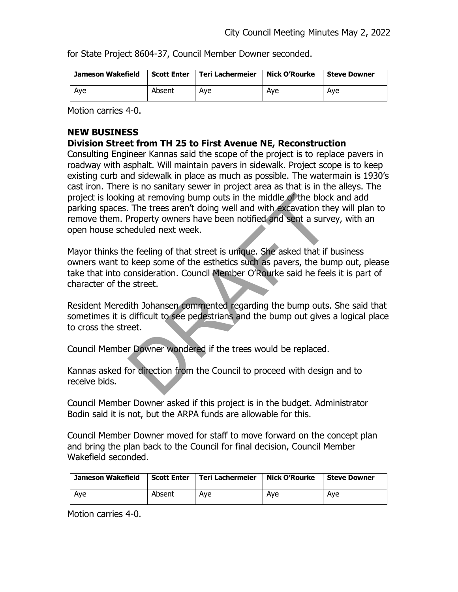for State Project 8604-37, Council Member Downer seconded.

| Jameson Wakefield | <b>Scott Enter</b> | Teri Lachermeier | Nick O'Rourke | <b>Steve Downer</b> |
|-------------------|--------------------|------------------|---------------|---------------------|
| Aye               | Absent             | Ave              | Ave           | Ave                 |

Motion carries 4-0.

# **NEW BUSINESS**

### **Division Street from TH 25 to First Avenue NE, Reconstruction**

Consulting Engineer Kannas said the scope of the project is to replace pavers in roadway with asphalt. Will maintain pavers in sidewalk. Project scope is to keep existing curb and sidewalk in place as much as possible. The watermain is 1930's cast iron. There is no sanitary sewer in project area as that is in the alleys. The project is looking at removing bump outs in the middle of the block and add parking spaces. The trees aren't doing well and with excavation they will plan to remove them. Property owners have been notified and sent a survey, with an open house scheduled next week. In the middle of the block.<br>The trees aren't doing well and with excavation the<br>Property owners have been notified and sent a surviceduled next week.<br>Reflecting of that street is unique. She asked that if if<br>also keep some

Mayor thinks the feeling of that street is unique. She asked that if business owners want to keep some of the esthetics such as pavers, the bump out, please take that into consideration. Council Member O'Rourke said he feels it is part of character of the street.

Resident Meredith Johansen commented regarding the bump outs. She said that sometimes it is difficult to see pedestrians and the bump out gives a logical place to cross the street.

Council Member Downer wondered if the trees would be replaced.

Kannas asked for direction from the Council to proceed with design and to receive bids.

Council Member Downer asked if this project is in the budget. Administrator Bodin said it is not, but the ARPA funds are allowable for this.

Council Member Downer moved for staff to move forward on the concept plan and bring the plan back to the Council for final decision, Council Member Wakefield seconded.

| Jameson Wakefield | <b>Scott Enter</b> | Teri Lachermeier | Nick O'Rourke | <b>Steve Downer</b> |
|-------------------|--------------------|------------------|---------------|---------------------|
| Aye               | Absent             | Ave              | Ave           | Ave                 |

Motion carries 4-0.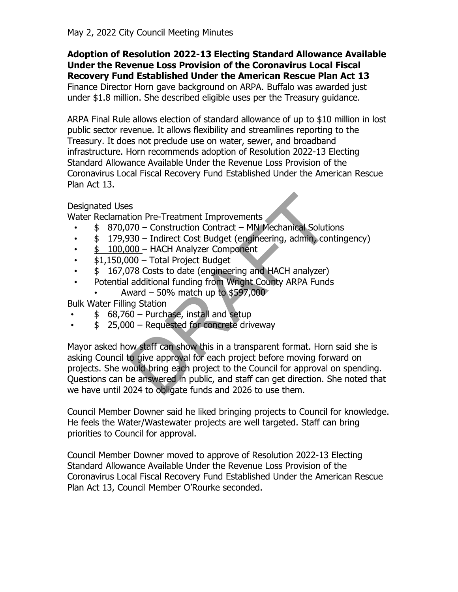#### **Adoption of Resolution 2022-13 Electing Standard Allowance Available Under the Revenue Loss Provision of the Coronavirus Local Fiscal Recovery Fund Established Under the American Rescue Plan Act 13**

Finance Director Horn gave background on ARPA. Buffalo was awarded just under \$1.8 million. She described eligible uses per the Treasury guidance.

ARPA Final Rule allows election of standard allowance of up to \$10 million in lost public sector revenue. It allows flexibility and streamlines reporting to the Treasury. It does not preclude use on water, sewer, and broadband infrastructure. Horn recommends adoption of Resolution 2022-13 Electing Standard Allowance Available Under the Revenue Loss Provision of the Coronavirus Local Fiscal Recovery Fund Established Under the American Rescue Plan Act 13.

# Designated Uses

Water Reclamation Pre-Treatment Improvements

- \$ 870,070 Construction Contract MN Mechanical Solutions
- \$ 179,930 Indirect Cost Budget (engineering, admin, contingency)
- \$ 100,000 HACH Analyzer Component
- \$1,150,000 Total Project Budget
- \$167,078 Costs to date (engineering and HACH analyzer)
- Potential additional funding from Wright County ARPA Funds
	- Award 50% match up to \$597,000

Bulk Water Filling Station

- \$ 68,760 Purchase, install and setup
- \$ 25,000 Requested for concrete driveway

Mayor asked how staff can show this in a transparent format. Horn said she is asking Council to give approval for each project before moving forward on projects. She would bring each project to the Council for approval on spending. Questions can be answered in public, and staff can get direction. She noted that we have until 2024 to obligate funds and 2026 to use them. ison Pre-Treatment Improvements<br>
770 – Construction Contract – MN Mechanical Solution<br>
770 – Construction Contract – MN Mechanical Solution<br>
<u>700 –</u> HACH Analyzer Component<br>
78 Costs to date (engineering and HACH analyzer)

Council Member Downer said he liked bringing projects to Council for knowledge. He feels the Water/Wastewater projects are well targeted. Staff can bring priorities to Council for approval.

Council Member Downer moved to approve of Resolution 2022-13 Electing Standard Allowance Available Under the Revenue Loss Provision of the Coronavirus Local Fiscal Recovery Fund Established Under the American Rescue Plan Act 13, Council Member O'Rourke seconded.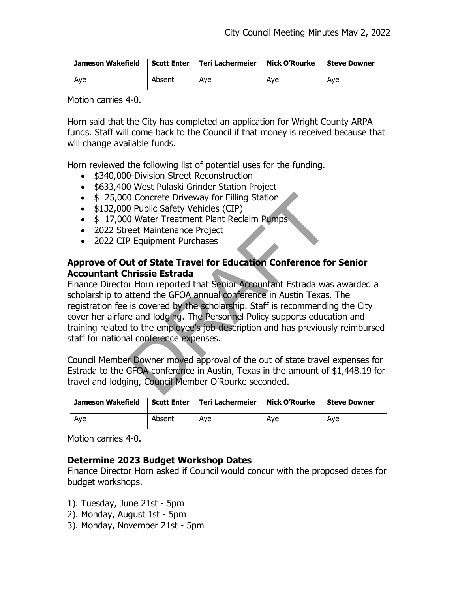| Jameson Wakefield | <b>Scott Enter</b> | Teri Lachermeier | Nick O'Rourke | <b>Steve Downer</b> |
|-------------------|--------------------|------------------|---------------|---------------------|
| Aye               | Absent             | Ave              | Ave           | Ave                 |

Motion carries 4-0.

Horn said that the City has completed an application for Wright County ARPA funds. Staff will come back to the Council if that money is received because that will change available funds.

Horn reviewed the following list of potential uses for the funding.

- \$340,000-Division Street Reconstruction
- \$633,400 West Pulaski Grinder Station Project
- \$ 25,000 Concrete Driveway for Filling Station
- \$132,000 Public Safety Vehicles (CIP)
- \$ 17,000 Water Treatment Plant Reclaim Pumps
- 2022 Street Maintenance Project
- 2022 CIP Equipment Purchases

### **Approve of Out of State Travel for Education Conference for Senior Accountant Chrissie Estrada**

Finance Director Horn reported that Senior Accountant Estrada was awarded a scholarship to attend the GFOA annual conference in Austin Texas. The registration fee is covered by the scholarship. Staff is recommending the City cover her airfare and lodging. The Personnel Policy supports education and training related to the employee's job description and has previously reimbursed staff for national conference expenses. O Concrete Driveway for Filling Station<br>
D Public Safety Vehicles (CIP)<br>
O Water Treatment Plant Reclaim Pumps<br>
eet Maintenance Project<br>
Pequipment Purchases<br>
Let **of State Travel for Education Conference fo**<br> **hrissie Est** 

Council Member Downer moved approval of the out of state travel expenses for Estrada to the GFOA conference in Austin, Texas in the amount of \$1,448.19 for travel and lodging, Council Member O'Rourke seconded.

| Jameson Wakefield | <b>Scott Enter</b> | <b>Teri Lachermeier</b> | Nick O'Rourke | <b>Steve Downer</b> |
|-------------------|--------------------|-------------------------|---------------|---------------------|
| Aye               | Absent             | Ave                     | Ave           | Ave                 |

Motion carries 4-0.

### **Determine 2023 Budget Workshop Dates**

Finance Director Horn asked if Council would concur with the proposed dates for budget workshops.

- 1). Tuesday, June 21st 5pm
- 2). Monday, August 1st 5pm
- 3). Monday, November 21st 5pm